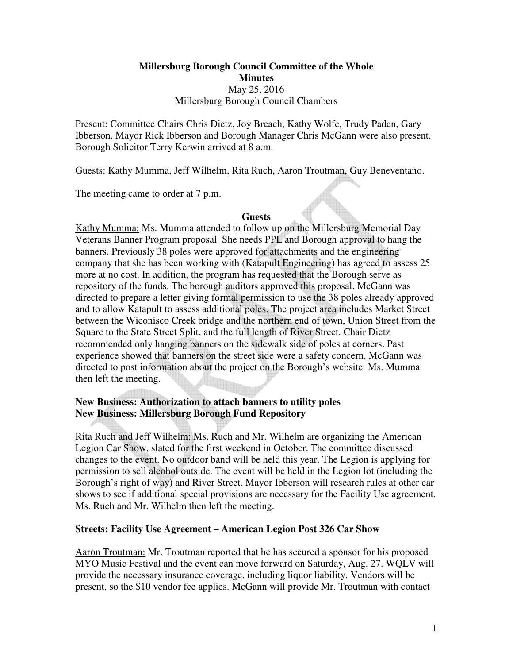# **Millersburg Borough Council Committee of the Whole Minutes**  May 25, 2016 Millersburg Borough Council Chambers

Present: Committee Chairs Chris Dietz, Joy Breach, Kathy Wolfe, Trudy Paden, Gary Ibberson. Mayor Rick Ibberson and Borough Manager Chris McGann were also present. Borough Solicitor Terry Kerwin arrived at 8 a.m.

Guests: Kathy Mumma, Jeff Wilhelm, Rita Ruch, Aaron Troutman, Guy Beneventano.

The meeting came to order at 7 p.m.

#### **Guests**

Kathy Mumma: Ms. Mumma attended to follow up on the Millersburg Memorial Day Veterans Banner Program proposal. She needs PPL and Borough approval to hang the banners. Previously 38 poles were approved for attachments and the engineering company that she has been working with (Katapult Engineering) has agreed to assess 25 more at no cost. In addition, the program has requested that the Borough serve as repository of the funds. The borough auditors approved this proposal. McGann was directed to prepare a letter giving formal permission to use the 38 poles already approved and to allow Katapult to assess additional poles. The project area includes Market Street between the Wiconisco Creek bridge and the northern end of town, Union Street from the Square to the State Street Split, and the full length of River Street. Chair Dietz recommended only hanging banners on the sidewalk side of poles at corners. Past experience showed that banners on the street side were a safety concern. McGann was directed to post information about the project on the Borough's website. Ms. Mumma then left the meeting.

# **New Business: Authorization to attach banners to utility poles New Business: Millersburg Borough Fund Repository**

Rita Ruch and Jeff Wilhelm: Ms. Ruch and Mr. Wilhelm are organizing the American Legion Car Show, slated for the first weekend in October. The committee discussed changes to the event. No outdoor band will be held this year. The Legion is applying for permission to sell alcohol outside. The event will be held in the Legion lot (including the Borough's right of way) and River Street. Mayor Ibberson will research rules at other car shows to see if additional special provisions are necessary for the Facility Use agreement. Ms. Ruch and Mr. Wilhelm then left the meeting.

### **Streets: Facility Use Agreement – American Legion Post 326 Car Show**

Aaron Troutman: Mr. Troutman reported that he has secured a sponsor for his proposed MYO Music Festival and the event can move forward on Saturday, Aug. 27. WQLV will provide the necessary insurance coverage, including liquor liability. Vendors will be present, so the \$10 vendor fee applies. McGann will provide Mr. Troutman with contact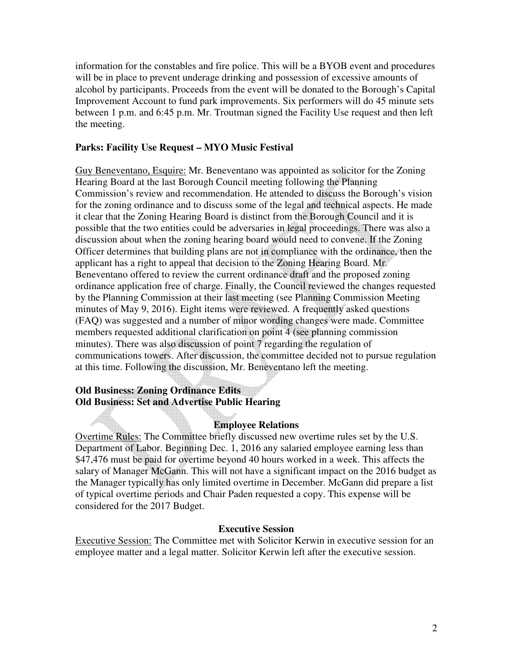information for the constables and fire police. This will be a BYOB event and procedures will be in place to prevent underage drinking and possession of excessive amounts of alcohol by participants. Proceeds from the event will be donated to the Borough's Capital Improvement Account to fund park improvements. Six performers will do 45 minute sets between 1 p.m. and 6:45 p.m. Mr. Troutman signed the Facility Use request and then left the meeting.

## **Parks: Facility Use Request – MYO Music Festival**

Guy Beneventano, Esquire: Mr. Beneventano was appointed as solicitor for the Zoning Hearing Board at the last Borough Council meeting following the Planning Commission's review and recommendation. He attended to discuss the Borough's vision for the zoning ordinance and to discuss some of the legal and technical aspects. He made it clear that the Zoning Hearing Board is distinct from the Borough Council and it is possible that the two entities could be adversaries in legal proceedings. There was also a discussion about when the zoning hearing board would need to convene. If the Zoning Officer determines that building plans are not in compliance with the ordinance, then the applicant has a right to appeal that decision to the Zoning Hearing Board. Mr. Beneventano offered to review the current ordinance draft and the proposed zoning ordinance application free of charge. Finally, the Council reviewed the changes requested by the Planning Commission at their last meeting (see Planning Commission Meeting minutes of May 9, 2016). Eight items were reviewed. A frequently asked questions (FAQ) was suggested and a number of minor wording changes were made. Committee members requested additional clarification on point 4 (see planning commission minutes). There was also discussion of point 7 regarding the regulation of communications towers. After discussion, the committee decided not to pursue regulation at this time. Following the discussion, Mr. Beneventano left the meeting.

# **Old Business: Zoning Ordinance Edits Old Business: Set and Advertise Public Hearing**

### **Employee Relations**

Overtime Rules: The Committee briefly discussed new overtime rules set by the U.S. Department of Labor. Beginning Dec. 1, 2016 any salaried employee earning less than \$47,476 must be paid for overtime beyond 40 hours worked in a week. This affects the salary of Manager McGann. This will not have a significant impact on the 2016 budget as the Manager typically has only limited overtime in December. McGann did prepare a list of typical overtime periods and Chair Paden requested a copy. This expense will be considered for the 2017 Budget.

#### **Executive Session**

Executive Session: The Committee met with Solicitor Kerwin in executive session for an employee matter and a legal matter. Solicitor Kerwin left after the executive session.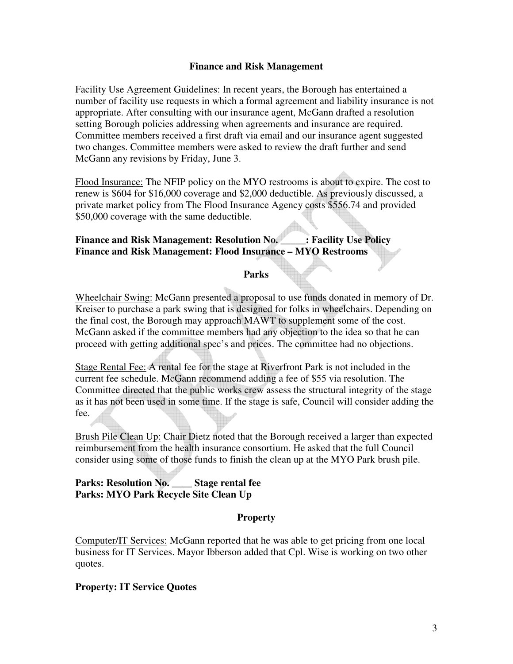### **Finance and Risk Management**

Facility Use Agreement Guidelines: In recent years, the Borough has entertained a number of facility use requests in which a formal agreement and liability insurance is not appropriate. After consulting with our insurance agent, McGann drafted a resolution setting Borough policies addressing when agreements and insurance are required. Committee members received a first draft via email and our insurance agent suggested two changes. Committee members were asked to review the draft further and send McGann any revisions by Friday, June 3.

Flood Insurance: The NFIP policy on the MYO restrooms is about to expire. The cost to renew is \$604 for \$16,000 coverage and \$2,000 deductible. As previously discussed, a private market policy from The Flood Insurance Agency costs \$556.74 and provided \$50,000 coverage with the same deductible.

### **Finance and Risk Management: Resolution No. \_\_\_\_\_: Facility Use Policy Finance and Risk Management: Flood Insurance – MYO Restrooms**

#### **Parks**

Wheelchair Swing: McGann presented a proposal to use funds donated in memory of Dr. Kreiser to purchase a park swing that is designed for folks in wheelchairs. Depending on the final cost, the Borough may approach MAWT to supplement some of the cost. McGann asked if the committee members had any objection to the idea so that he can proceed with getting additional spec's and prices. The committee had no objections.

Stage Rental Fee: A rental fee for the stage at Riverfront Park is not included in the current fee schedule. McGann recommend adding a fee of \$55 via resolution. The Committee directed that the public works crew assess the structural integrity of the stage as it has not been used in some time. If the stage is safe, Council will consider adding the fee.

Brush Pile Clean Up: Chair Dietz noted that the Borough received a larger than expected reimbursement from the health insurance consortium. He asked that the full Council consider using some of those funds to finish the clean up at the MYO Park brush pile.

# **Parks: Resolution No. \_\_\_\_ Stage rental fee Parks: MYO Park Recycle Site Clean Up**

### **Property**

Computer/IT Services: McGann reported that he was able to get pricing from one local business for IT Services. Mayor Ibberson added that Cpl. Wise is working on two other quotes.

### **Property: IT Service Quotes**